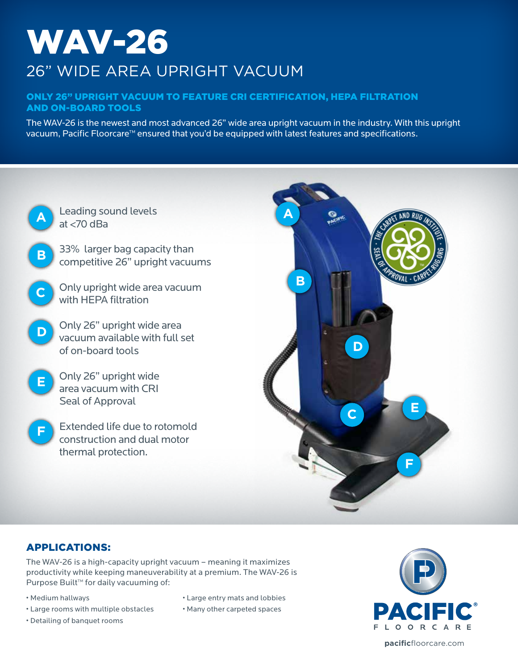# WAV-26 26" WIDE AREA UPRIGHT VACUUM

### Only 26" upright vacuum to feature CRI Certification, Hepa filtration and on-board tools

The WAV-26 is the newest and most advanced 26" wide area upright vacuum in the industry. With this upright vacuum, Pacific Floorcare™ ensured that you'd be equipped with latest features and specifications.



### Applications:

The WAV-26 is a high-capacity upright vacuum – meaning it maximizes productivity while keeping maneuverability at a premium. The WAV-26 is Purpose Built™ for daily vacuuming of:

- Medium hallways
- Large rooms with multiple obstacles
- Detailing of banquet rooms
- Large entry mats and lobbies
- Many other carpeted spaces



**pacific**floorcare.com